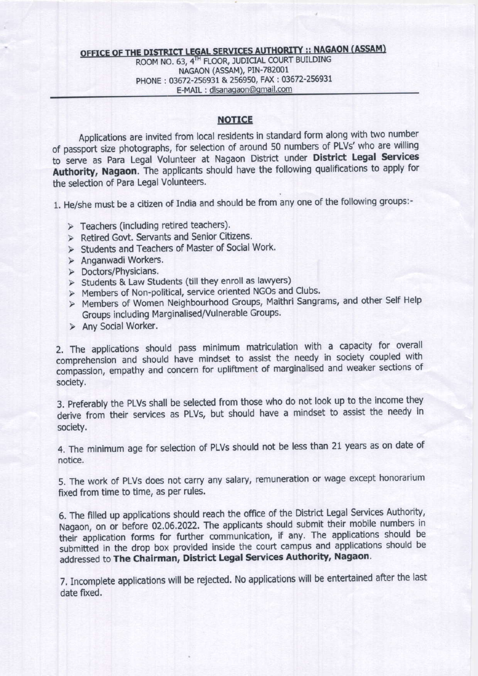## **OFFICE OF THE DISTRICT LEGAL SERVICES AUTHORITY :: NAGAON (ASSAM)** ROOM NO. 63, 4TH FLOOR, JUDICIAL COURT BUILDING NAGAON (ASSAM), PIN-782001 PHONE: 03672-256931 & 256950, FAX: 03672-256931 E-MAIL: dlsanagaon@gmail.com

## **NOTICE**

Applications are invited from local residents in standard form along with two number of passport size photographs, for selection of around 50 numbers of PLVs' who are willing to serve as Para Legal Volunteer at Nagaon District under District Legal Services Authority, Nagaon. The applicants should have the following qualifications to apply for the selection of Para Legal Volunteers.

1. He/she must be a citizen of India and should be from any one of the following groups:-

- > Teachers (including retired teachers).
- > Retired Govt. Servants and Senior Citizens.
- > Students and Teachers of Master of Social Work.
- > Anganwadi Workers.
- > Doctors/Physicians.
- > Students & Law Students (till they enroll as lawyers)
- > Members of Non-political, service oriented NGOs and Clubs.
- > Members of Women Neighbourhood Groups, Maithri Sangrams, and other Self Help Groups including Marginalised/Vulnerable Groups.
- > Any Social Worker.

2. The applications should pass minimum matriculation with a capacity for overall comprehension and should have mindset to assist the needy in society coupled with compassion, empathy and concern for upliftment of marginalised and weaker sections of society.

3. Preferably the PLVs shall be selected from those who do not look up to the income they derive from their services as PLVs, but should have a mindset to assist the needy in society.

4. The minimum age for selection of PLVs should not be less than 21 years as on date of notice.

5. The work of PLVs does not carry any salary, remuneration or wage except honorarium fixed from time to time, as per rules.

6. The filled up applications should reach the office of the District Legal Services Authority, Nagaon, on or before 02.06.2022. The applicants should submit their mobile numbers in their application forms for further communication, if any. The applications should be submitted in the drop box provided inside the court campus and applications should be addressed to The Chairman, District Legal Services Authority, Nagaon.

7. Incomplete applications will be rejected. No applications will be entertained after the last date fixed.